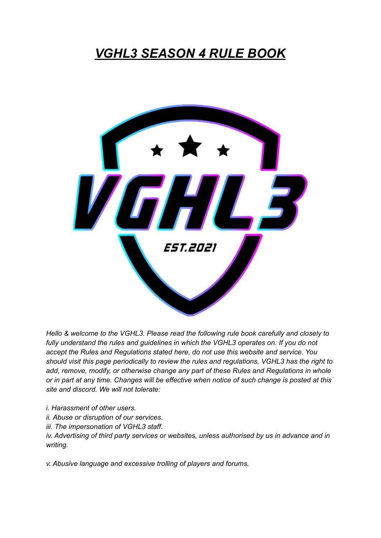# *VGHL3 SEASON 4 RULE BOOK*



*Hello & welcome to the VGHL3. Please read the following rule book carefully and closely to fully understand the rules and guidelines in which the VGHL3 operates on. If you do not accept the Rules and Regulations stated here, do not use this website and service. You should visit this page periodically to review the rules and regulations, VGHL3 has the right to add, remove, modify, or otherwise change any part of these Rules and Regulations in whole* or in part at any time. Changes will be effective when notice of such change is posted at this *site and discord. We will not tolerate:*

- *i. Harassment of other users.*
- *ii. Abuse or disruption of our services.*
- *iii. The impersonation of VGHL3 staff.*

*iv. Advertising of third party services or websites, unless authorised by us in advance and in writing.*

*v. Abusive language and excessive trolling of players and forums.*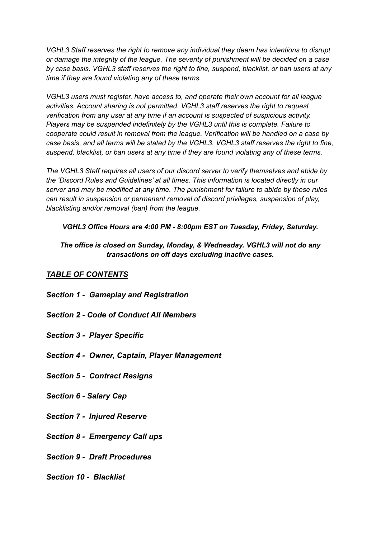*VGHL3 Staff reserves the right to remove any individual they deem has intentions to disrupt or damage the integrity of the league. The severity of punishment will be decided on a case by case basis. VGHL3 staff reserves the right to fine, suspend, blacklist, or ban users at any time if they are found violating any of these terms.*

*VGHL3 users must register, have access to, and operate their own account for all league activities. Account sharing is not permitted. VGHL3 staff reserves the right to request verification from any user at any time if an account is suspected of suspicious activity. Players may be suspended indefinitely by the VGHL3 until this is complete. Failure to cooperate could result in removal from the league. Verification will be handled on a case by case basis, and all terms will be stated by the VGHL3. VGHL3 staff reserves the right to fine, suspend, blacklist, or ban users at any time if they are found violating any of these terms.*

*The VGHL3 Staff requires all users of our discord server to verify themselves and abide by the 'Discord Rules and Guidelines' at all times. This information is located directly in our server and may be modified at any time. The punishment for failure to abide by these rules can result in suspension or permanent removal of discord privileges, suspension of play, blacklisting and/or removal (ban) from the league.*

#### *VGHL3 Office Hours are 4:00 PM - 8:00pm EST on Tuesday, Friday, Saturday.*

#### *The office is closed on Sunday, Monday, & Wednesday. VGHL3 will not do any transactions on off days excluding inactive cases.*

## *TABLE OF CONTENTS*

- *Section 1 Gameplay and Registration*
- *Section 2 Code of Conduct All Members*
- *Section 3 Player Specific*
- *Section 4 Owner, Captain, Player Management*
- *Section 5 Contract Resigns*
- *Section 6 Salary Cap*
- *Section 7 Injured Reserve*
- *Section 8 Emergency Call ups*
- *Section 9 Draft Procedures*
- *Section 10 Blacklist*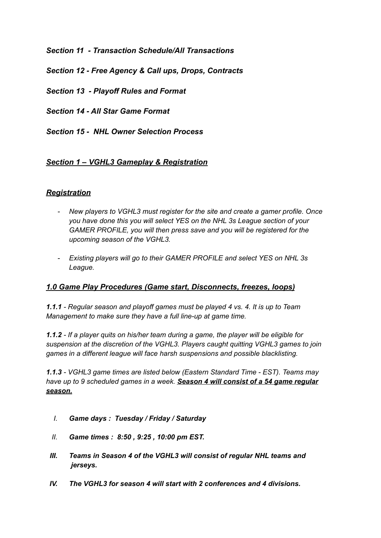*Section 11 - Transaction Schedule/All Transactions*

*Section 12 - Free Agency & Call ups, Drops, Contracts*

*Section 13 - Playoff Rules and Format*

*Section 14 - All Star Game Format*

*Section 15 - NHL Owner Selection Process*

# *Section 1 – VGHL3 Gameplay & Registration*

# *Registration*

- *- New players to VGHL3 must register for the site and create a gamer profile. Once you have done this you will select YES on the NHL 3s League section of your GAMER PROFILE, you will then press save and you will be registered for the upcoming season of the VGHL3.*
- *- Existing players will go to their GAMER PROFILE and select YES on NHL 3s League.*

## *1.0 Game Play Procedures (Game start, Disconnects, freezes, loops)*

*1.1.1 - Regular season and playoff games must be played 4 vs. 4. It is up to Team Management to make sure they have a full line-up at game time.*

*1.1.2 - If a player quits on his/her team during a game, the player will be eligible for suspension at the discretion of the VGHL3. Players caught quitting VGHL3 games to join games in a different league will face harsh suspensions and possible blacklisting.*

*1.1.3 - VGHL3 game times are listed below (Eastern Standard Time - EST). Teams may have up to 9 scheduled games in a week. Season 4 will consist of a 54 game regular season.*

- *I. Game days : Tuesday / Friday / Saturday*
- *II. Game times : 8:50 , 9:25 , 10:00 pm EST.*
- *III. Teams in Season 4 of the VGHL3 will consist of regular NHL teams and jerseys.*
- *IV. The VGHL3 for season 4 will start with 2 conferences and 4 divisions.*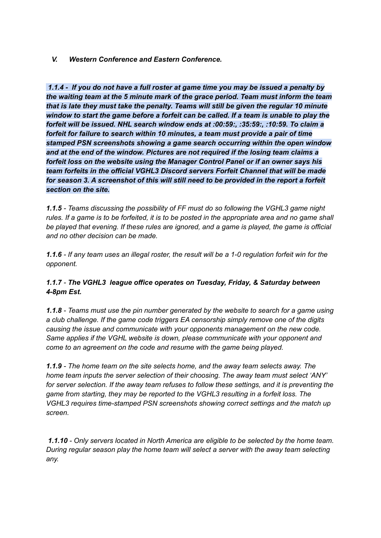#### *V. Western Conference and Eastern Conference.*

*1.1.4 - If you do not have a full roster at game time you may be issued a penalty by the waiting team at the 5 minute mark of the grace period. Team must inform the team that is late they must take the penalty. Teams will still be given the regular 10 minute window to start the game before a forfeit can be called. If a team is unable to play the forfeit will be issued. NHL search window ends at :00:59:, :35:59:, :10:59. To claim a forfeit for failure to search within 10 minutes, a team must provide a pair of time stamped PSN screenshots showing a game search occurring within the open window and at the end of the window. Pictures are not required if the losing team claims a forfeit loss on the website using the Manager Control Panel or if an owner says his team forfeits in the official VGHL3 Discord servers Forfeit Channel that will be made for season 3. A screenshot of this will still need to be provided in the report a forfeit section on the site.*

*1.1.5 - Teams discussing the possibility of FF must do so following the VGHL3 game night* rules. If a game is to be forfeited, it is to be posted in the appropriate area and no game shall *be played that evening. If these rules are ignored, and a game is played, the game is official and no other decision can be made.*

1.1.6 - If any team uses an illegal roster, the result will be a 1-0 regulation forfeit win for the *opponent.*

#### *1.1.7 - The VGHL3 league office operates on Tuesday, Friday, & Saturday between 4-8pm Est.*

*1.1.8 - Teams must use the pin number generated by the website to search for a game using a club challenge. If the game code triggers EA censorship simply remove one of the digits causing the issue and communicate with your opponents management on the new code. Same applies if the VGHL website is down, please communicate with your opponent and come to an agreement on the code and resume with the game being played.*

*1.1.9 - The home team on the site selects home, and the away team selects away. The home team inputs the server selection of their choosing. The away team must select 'ANY' for server selection. If the away team refuses to follow these settings, and it is preventing the game from starting, they may be reported to the VGHL3 resulting in a forfeit loss. The VGHL3 requires time-stamped PSN screenshots showing correct settings and the match up screen.*

*1.1.10 - Only servers located in North America are eligible to be selected by the home team. During regular season play the home team will select a server with the away team selecting any.*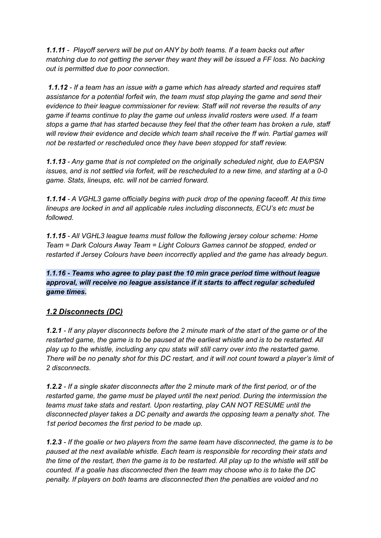*1.1.11 - Playoff servers will be put on ANY by both teams. If a team backs out after matching due to not getting the server they want they will be issued a FF loss. No backing out is permitted due to poor connection.*

*1.1.12 - If a team has an issue with a game which has already started and requires staff assistance for a potential forfeit win, the team must stop playing the game and send their evidence to their league commissioner for review. Staff will not reverse the results of any game if teams continue to play the game out unless invalid rosters were used. If a team stops a game that has started because they feel that the other team has broken a rule, staff will review their evidence and decide which team shall receive the ff win. Partial games will not be restarted or rescheduled once they have been stopped for staff review.*

*1.1.13 - Any game that is not completed on the originally scheduled night, due to EA/PSN* issues, and is not settled via forfeit, will be rescheduled to a new time, and starting at a 0-0 *game. Stats, lineups, etc. will not be carried forward.*

*1.1.14 - A VGHL3 game officially begins with puck drop of the opening faceoff. At this time lineups are locked in and all applicable rules including disconnects, ECU's etc must be followed.*

*1.1.15 - All VGHL3 league teams must follow the following jersey colour scheme: Home Team = Dark Colours Away Team = Light Colours Games cannot be stopped, ended or restarted if Jersey Colours have been incorrectly applied and the game has already begun.*

#### *1.1.16 - Teams who agree to play past the 10 min grace period time without league approval, will receive no league assistance if it starts to affect regular scheduled game times.*

# *1.2 Disconnects (DC)*

1.2.1 - If any player disconnects before the 2 minute mark of the start of the game or of the *restarted game, the game is to be paused at the earliest whistle and is to be restarted. All play up to the whistle, including any cpu stats will still carry over into the restarted game.* There will be no penalty shot for this DC restart, and it will not count toward a player's limit of *2 disconnects.*

1.2.2 - If a single skater disconnects after the 2 minute mark of the first period, or of the *restarted game, the game must be played until the next period. During the intermission the teams must take stats and restart. Upon restarting, play CAN NOT RESUME until the disconnected player takes a DC penalty and awards the opposing team a penalty shot. The 1st period becomes the first period to be made up.*

1.2.3 - If the goalie or two players from the same team have disconnected, the game is to be *paused at the next available whistle. Each team is responsible for recording their stats and* the time of the restart, then the game is to be restarted. All play up to the whistle will still be *counted. If a goalie has disconnected then the team may choose who is to take the DC penalty. If players on both teams are disconnected then the penalties are voided and no*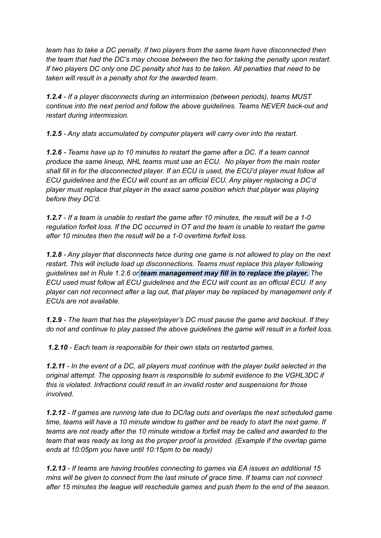*team has to take a DC penalty. If two players from the same team have disconnected then the team that had the DC's may choose between the two for taking the penalty upon restart. If two players DC only one DC penalty shot has to be taken. All penalties that need to be taken will result in a penalty shot for the awarded team.*

*1.2.4 - If a player disconnects during an intermission (between periods), teams MUST continue into the next period and follow the above guidelines. Teams NEVER back-out and restart during intermission.*

*1.2.5 - Any stats accumulated by computer players will carry over into the restart.*

*1.2.6 - Teams have up to 10 minutes to restart the game after a DC. If a team cannot produce the same lineup, NHL teams must use an ECU. No player from the main roster shall fill in for the disconnected player. If an ECU is used, the ECU'd player must follow all ECU guidelines and the ECU will count as an official ECU. Any player replacing a DC'd player must replace that player in the exact same position which that player was playing before they DC'd.*

1.2.7 - If a team is unable to restart the game after 10 minutes, the result will be a 1-0 *regulation forfeit loss. If the DC occurred in OT and the team is unable to restart the game after 10 minutes then the result will be a 1-0 overtime forfeit loss.*

*1.2.8 - Any player that disconnects twice during one game is not allowed to play on the next restart. This will include load up disconnections. Teams must replace this player following guidelines set in Rule 1.2.6 or team management may fill in to replace the player. The ECU used must follow all ECU guidelines and the ECU will count as an official ECU. If any player can not reconnect after a lag out, that player may be replaced by management only if ECUs are not available.*

*1.2.9 - The team that has the player/player's DC must pause the game and backout. If they do not and continue to play passed the above guidelines the game will result in a forfeit loss.*

*1.2.10 - Each team is responsible for their own stats on restarted games.*

1.2.11 - In the event of a DC, all players must continue with the player build selected in the *original attempt. The opposing team is responsible to submit evidence to the VGHL3DC if this is violated. Infractions could result in an invalid roster and suspensions for those involved.*

*1.2.12 - If games are running late due to DC/lag outs and overlaps the next scheduled game time, teams will have a 10 minute window to gather and be ready to start the next game. If teams are not ready after the 10 minute window a forfeit may be called and awarded to the team that was ready as long as the proper proof is provided. (Example if the overlap game ends at 10:05pm you have until 10:15pm to be ready)*

*1.2.13 - If teams are having troubles connecting to games via EA issues an additional 15 mins will be given to connect from the last minute of grace time. If teams can not connect after 15 minutes the league will reschedule games and push them to the end of the season.*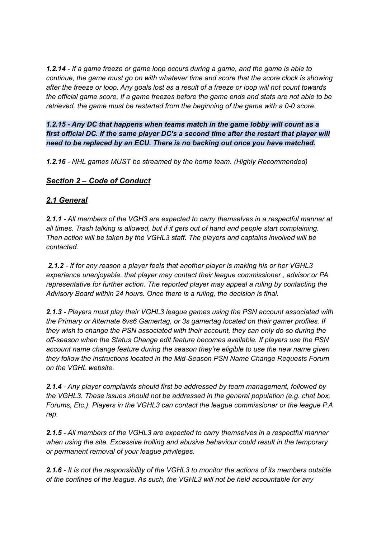*1.2.14 - If a game freeze or game loop occurs during a game, and the game is able to continue, the game must go on with whatever time and score that the score clock is showing* after the freeze or loop. Any goals lost as a result of a freeze or loop will not count towards the official game score. If a game freezes before the game ends and stats are not able to be *retrieved, the game must be restarted from the beginning of the game with a 0-0 score.*

*1.2.15 - Any DC that happens when teams match in the game lobby will count as a first official DC. If the same player DC's a second time after the restart that player will need to be replaced by an ECU. There is no backing out once you have matched.*

*1.2.16 - NHL games MUST be streamed by the home team. (Highly Recommended)*

#### *Section 2 – Code of Conduct*

#### *2.1 General*

*2.1.1 - All members of the VGH3 are expected to carry themselves in a respectful manner at all times. Trash talking is allowed, but if it gets out of hand and people start complaining. Then action will be taken by the VGHL3 staff. The players and captains involved will be contacted.*

*2.1.2 - If for any reason a player feels that another player is making his or her VGHL3 experience unenjoyable, that player may contact their league commissioner , advisor or PA representative for further action. The reported player may appeal a ruling by contacting the Advisory Board within 24 hours. Once there is a ruling, the decision is final.*

*2.1.3 - Players must play their VGHL3 league games using the PSN account associated with the Primary or Alternate 6vs6 Gamertag, or 3s gamertag located on their gamer profiles. If they wish to change the PSN associated with their account, they can only do so during the off-season when the Status Change edit feature becomes available. If players use the PSN account name change feature during the season they're eligible to use the new name given they follow the instructions located in the Mid-Season PSN Name Change Requests Forum on the VGHL website.*

*2.1.4 - Any player complaints should first be addressed by team management, followed by the VGHL3. These issues should not be addressed in the general population (e.g. chat box, Forums, Etc.). Players in the VGHL3 can contact the league commissioner or the league P.A rep.*

*2.1.5 - All members of the VGHL3 are expected to carry themselves in a respectful manner when using the site. Excessive trolling and abusive behaviour could result in the temporary or permanent removal of your league privileges.*

*2.1.6 - It is not the responsibility of the VGHL3 to monitor the actions of its members outside of the confines of the league. As such, the VGHL3 will not be held accountable for any*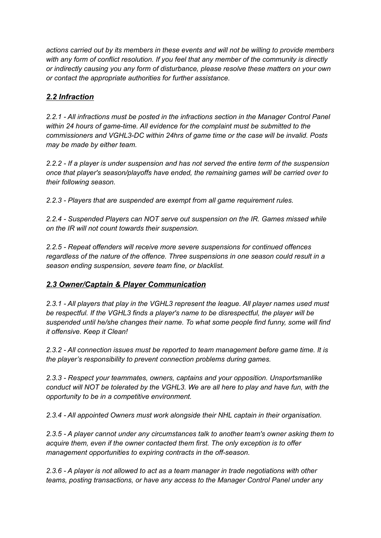*actions carried out by its members in these events and will not be willing to provide members with any form of conflict resolution. If you feel that any member of the community is directly or indirectly causing you any form of disturbance, please resolve these matters on your own or contact the appropriate authorities for further assistance.*

# *2.2 Infraction*

*2.2.1 - All infractions must be posted in the infractions section in the Manager Control Panel within 24 hours of game-time. All evidence for the complaint must be submitted to the commissioners and VGHL3-DC within 24hrs of game time or the case will be invalid. Posts may be made by either team.*

*2.2.2 - If a player is under suspension and has not served the entire term of the suspension once that player's season/playoffs have ended, the remaining games will be carried over to their following season.*

*2.2.3 - Players that are suspended are exempt from all game requirement rules.*

*2.2.4 - Suspended Players can NOT serve out suspension on the IR. Games missed while on the IR will not count towards their suspension.*

*2.2.5 - Repeat offenders will receive more severe suspensions for continued offences regardless of the nature of the offence. Three suspensions in one season could result in a season ending suspension, severe team fine, or blacklist.*

## *2.3 Owner/Captain & Player Communication*

*2.3.1 - All players that play in the VGHL3 represent the league. All player names used must be respectful. If the VGHL3 finds a player's name to be disrespectful, the player will be suspended until he/she changes their name. To what some people find funny, some will find it offensive. Keep it Clean!*

*2.3.2 - All connection issues must be reported to team management before game time. It is the player's responsibility to prevent connection problems during games.*

*2.3.3 - Respect your teammates, owners, captains and your opposition. Unsportsmanlike conduct will NOT be tolerated by the VGHL3. We are all here to play and have fun, with the opportunity to be in a competitive environment.*

*2.3.4 - All appointed Owners must work alongside their NHL captain in their organisation.*

*2.3.5 - A player cannot under any circumstances talk to another team's owner asking them to acquire them, even if the owner contacted them first. The only exception is to offer management opportunities to expiring contracts in the off-season.*

*2.3.6 - A player is not allowed to act as a team manager in trade negotiations with other teams, posting transactions, or have any access to the Manager Control Panel under any*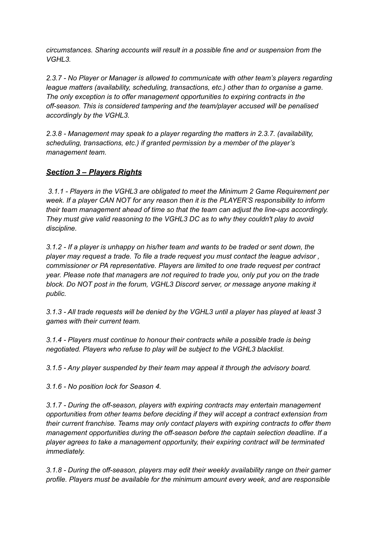*circumstances. Sharing accounts will result in a possible fine and or suspension from the VGHL3.*

*2.3.7 - No Player or Manager is allowed to communicate with other team's players regarding league matters (availability, scheduling, transactions, etc.) other than to organise a game. The only exception is to offer management opportunities to expiring contracts in the off-season. This is considered tampering and the team/player accused will be penalised accordingly by the VGHL3.*

*2.3.8 - Management may speak to a player regarding the matters in 2.3.7. (availability, scheduling, transactions, etc.) if granted permission by a member of the player's management team.*

## *Section 3 – Players Rights*

*3.1.1 - Players in the VGHL3 are obligated to meet the Minimum 2 Game Requirement per week. If a player CAN NOT for any reason then it is the PLAYER'S responsibility to inform their team management ahead of time so that the team can adjust the line-ups accordingly. They must give valid reasoning to the VGHL3 DC as to why they couldn't play to avoid discipline.*

*3.1.2 - If a player is unhappy on his/her team and wants to be traded or sent down, the player may request a trade. To file a trade request you must contact the league advisor , commissioner or PA representative. Players are limited to one trade request per contract year. Please note that managers are not required to trade you, only put you on the trade block. Do NOT post in the forum, VGHL3 Discord server, or message anyone making it public.*

*3.1.3 - All trade requests will be denied by the VGHL3 until a player has played at least 3 games with their current team.*

*3.1.4 - Players must continue to honour their contracts while a possible trade is being negotiated. Players who refuse to play will be subject to the VGHL3 blacklist.*

*3.1.5 - Any player suspended by their team may appeal it through the advisory board.*

*3.1.6 - No position lock for Season 4.*

*3.1.7 - During the off-season, players with expiring contracts may entertain management opportunities from other teams before deciding if they will accept a contract extension from their current franchise. Teams may only contact players with expiring contracts to offer them management opportunities during the off-season before the captain selection deadline. If a player agrees to take a management opportunity, their expiring contract will be terminated immediately.*

*3.1.8 - During the off-season, players may edit their weekly availability range on their gamer profile. Players must be available for the minimum amount every week, and are responsible*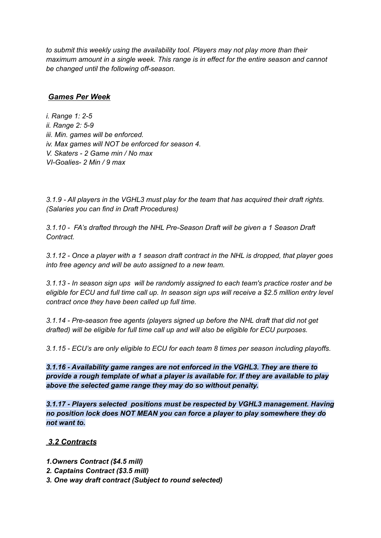*to submit this weekly using the availability tool. Players may not play more than their maximum amount in a single week. This range is in effect for the entire season and cannot be changed until the following off-season.*

#### *Games Per Week*

*i. Range 1: 2-5 ii. Range 2: 5-9 iii. Min. games will be enforced. iv. Max games will NOT be enforced for season 4. V. Skaters - 2 Game min / No max VI-Goalies- 2 Min / 9 max*

*3.1.9 - All players in the VGHL3 must play for the team that has acquired their draft rights. (Salaries you can find in Draft Procedures)*

*3.1.10 - FA's drafted through the NHL Pre-Season Draft will be given a 1 Season Draft Contract.*

3.1.12 - Once a player with a 1 season draft contract in the NHL is dropped, that player goes *into free agency and will be auto assigned to a new team.*

*3.1.13 - In season sign ups will be randomly assigned to each team's practice roster and be* eligible for ECU and full time call up. In season sign ups will receive a \$2.5 million entry level *contract once they have been called up full time.*

*3.1.14 - Pre-season free agents (players signed up before the NHL draft that did not get drafted) will be eligible for full time call up and will also be eligible for ECU purposes.*

*3.1.15 - ECU's are only eligible to ECU for each team 8 times per season including playoffs.*

*3.1.16 - Availability game ranges are not enforced in the VGHL3. They are there to provide a rough template of what a player is available for. If they are available to play above the selected game range they may do so without penalty.*

*3.1.17 - Players selected positions must be respected by VGHL3 management. Having no position lock does NOT MEAN you can force a player to play somewhere they do not want to.*

## *3.2 Contracts*

- *1.Owners Contract (\$4.5 mill)*
- *2. Captains Contract (\$3.5 mill)*
- *3. One way draft contract (Subject to round selected)*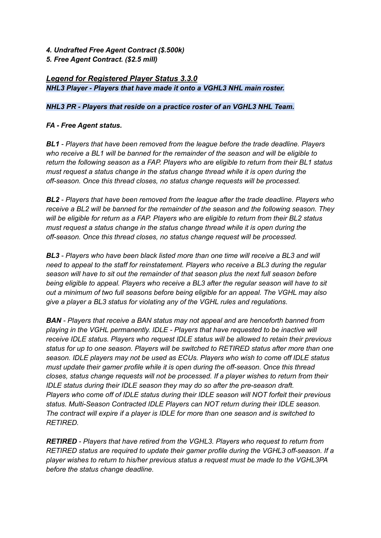- *4. Undrafted Free Agent Contract (\$.500k)*
- *5. Free Agent Contract. (\$2.5 mill)*

#### *Legend for Registered Player Status 3.3.0 NHL3 Player - Players that have made it onto a VGHL3 NHL main roster.*

#### *NHL3 PR - Players that reside on a practice roster of an VGHL3 NHL Team.*

#### *FA - Free Agent status.*

*BL1 - Players that have been removed from the league before the trade deadline. Players who receive a BL1 will be banned for the remainder of the season and will be eligible to return the following season as a FAP. Players who are eligible to return from their BL1 status must request a status change in the status change thread while it is open during the off-season. Once this thread closes, no status change requests will be processed.*

*BL2 - Players that have been removed from the league after the trade deadline. Players who receive a BL2 will be banned for the remainder of the season and the following season. They will be eligible for return as a FAP. Players who are eligible to return from their BL2 status must request a status change in the status change thread while it is open during the off-season. Once this thread closes, no status change request will be processed.*

*BL3 - Players who have been black listed more than one time will receive a BL3 and will need to appeal to the staff for reinstatement. Players who receive a BL3 during the regular season will have to sit out the remainder of that season plus the next full season before being eligible to appeal. Players who receive a BL3 after the regular season will have to sit out a minimum of two full seasons before being eligible for an appeal. The VGHL may also give a player a BL3 status for violating any of the VGHL rules and regulations.*

*BAN - Players that receive a BAN status may not appeal and are henceforth banned from playing in the VGHL permanently. IDLE - Players that have requested to be inactive will receive IDLE status. Players who request IDLE status will be allowed to retain their previous status for up to one season. Players will be switched to RETIRED status after more than one season. IDLE players may not be used as ECUs. Players who wish to come off IDLE status must update their gamer profile while it is open during the off-season. Once this thread closes, status change requests will not be processed. If a player wishes to return from their IDLE status during their IDLE season they may do so after the pre-season draft. Players who come off of IDLE status during their IDLE season will NOT forfeit their previous status. Multi-Season Contracted IDLE Players can NOT return during their IDLE season. The contract will expire if a player is IDLE for more than one season and is switched to RETIRED.*

*RETIRED - Players that have retired from the VGHL3. Players who request to return from RETIRED status are required to update their gamer profile during the VGHL3 off-season. If a player wishes to return to his/her previous status a request must be made to the VGHL3PA before the status change deadline.*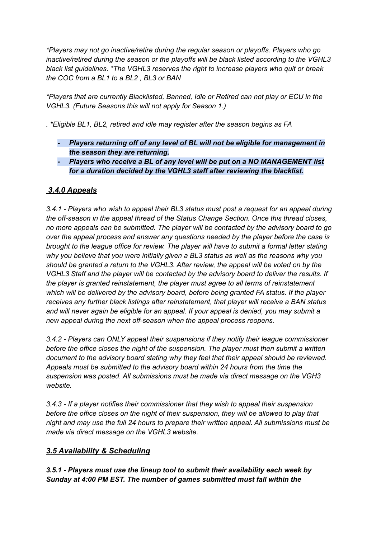*\*Players may not go inactive/retire during the regular season or playoffs. Players who go inactive/retired during the season or the playoffs will be black listed according to the VGHL3 black list guidelines. \*The VGHL3 reserves the right to increase players who quit or break the COC from a BL1 to a BL2 , BL3 or BAN*

*\*Players that are currently Blacklisted, Banned, Idle or Retired can not play or ECU in the VGHL3. (Future Seasons this will not apply for Season 1.)*

*. \*Eligible BL1, BL2, retired and idle may register after the season begins as FA*

- *- Players returning off of any level of BL will not be eligible for management in the season they are returning.*
- *- Players who receive a BL of any level will be put on a NO MANAGEMENT list for a duration decided by the VGHL3 staff after reviewing the blacklist.*

# *3.4.0 Appeals*

*3.4.1 - Players who wish to appeal their BL3 status must post a request for an appeal during the off-season in the appeal thread of the Status Change Section. Once this thread closes, no more appeals can be submitted. The player will be contacted by the advisory board to go over the appeal process and answer any questions needed by the player before the case is brought to the league office for review. The player will have to submit a formal letter stating why you believe that you were initially given a BL3 status as well as the reasons why you should be granted a return to the VGHL3. After review, the appeal will be voted on by the VGHL3 Staff and the player will be contacted by the advisory board to deliver the results. If the player is granted reinstatement, the player must agree to all terms of reinstatement which will be delivered by the advisory board, before being granted FA status. If the player receives any further black listings after reinstatement, that player will receive a BAN status and will never again be eligible for an appeal. If your appeal is denied, you may submit a new appeal during the next off-season when the appeal process reopens.*

*3.4.2 - Players can ONLY appeal their suspensions if they notify their league commissioner before the office closes the night of the suspension. The player must then submit a written document to the advisory board stating why they feel that their appeal should be reviewed. Appeals must be submitted to the advisory board within 24 hours from the time the suspension was posted. All submissions must be made via direct message on the VGH3 website.*

*3.4.3 - If a player notifies their commissioner that they wish to appeal their suspension before the office closes on the night of their suspension, they will be allowed to play that night and may use the full 24 hours to prepare their written appeal. All submissions must be made via direct message on the VGHL3 website.*

## *3.5 Availability & Scheduling*

*3.5.1 - Players must use the lineup tool to submit their availability each week by Sunday at 4:00 PM EST. The number of games submitted must fall within the*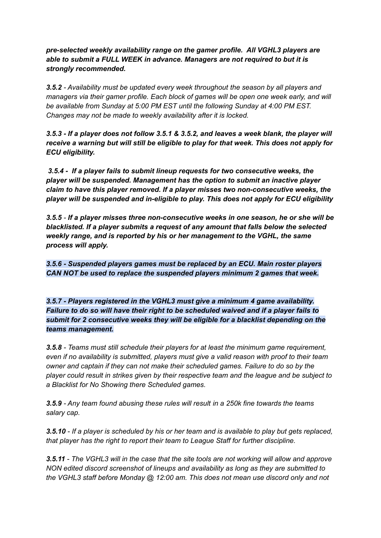*pre-selected weekly availability range on the gamer profile. All VGHL3 players are able to submit a FULL WEEK in advance. Managers are not required to but it is strongly recommended.*

*3.5.2 - Availability must be updated every week throughout the season by all players and managers via their gamer profile. Each block of games will be open one week early, and will be available from Sunday at 5:00 PM EST until the following Sunday at 4:00 PM EST. Changes may not be made to weekly availability after it is locked.*

*3.5.3 - If a player does not follow 3.5.1 & 3.5.2, and leaves a week blank, the player will receive a warning but will still be eligible to play for that week. This does not apply for ECU eligibility.*

*3.5.4 - If a player fails to submit lineup requests for two consecutive weeks, the player will be suspended. Management has the option to submit an inactive player claim to have this player removed. If a player misses two non-consecutive weeks, the player will be suspended and in-eligible to play. This does not apply for ECU eligibility*

*3.5.5 - If a player misses three non-consecutive weeks in one season, he or she will be blacklisted. If a player submits a request of any amount that falls below the selected weekly range, and is reported by his or her management to the VGHL, the same process will apply.*

*3.5.6 - Suspended players games must be replaced by an ECU. Main roster players CAN NOT be used to replace the suspended players minimum 2 games that week.*

*3.5.7 - Players registered in the VGHL3 must give a minimum 4 game availability. Failure to do so will have their right to be scheduled waived and if a player fails to submit for 2 consecutive weeks they will be eligible for a blacklist depending on the teams management.*

*3.5.8 - Teams must still schedule their players for at least the minimum game requirement, even if no availability is submitted, players must give a valid reason with proof to their team owner and captain if they can not make their scheduled games. Failure to do so by the player could result in strikes given by their respective team and the league and be subject to a Blacklist for No Showing there Scheduled games.*

*3.5.9 - Any team found abusing these rules will result in a 250k fine towards the teams salary cap.*

3.5.10 - If a player is scheduled by his or her team and is available to play but gets replaced. *that player has the right to report their team to League Staff for further discipline.*

3.5.11 - The VGHL3 will in the case that the site tools are not working will allow and approve *NON edited discord screenshot of lineups and availability as long as they are submitted to the VGHL3 staff before Monday @ 12:00 am. This does not mean use discord only and not*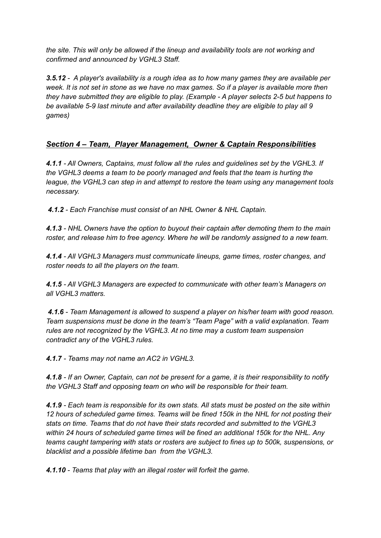*the site. This will only be allowed if the lineup and availability tools are not working and confirmed and announced by VGHL3 Staff.*

*3.5.12 - A player's availability is a rough idea as to how many games they are available per* week. It is not set in stone as we have no max games. So if a player is available more then *they have submitted they are eligible to play. (Example - A player selects 2-5 but happens to be available 5-9 last minute and after availability deadline they are eligible to play all 9 games)*

## *Section 4 – Team, Player Management, Owner & Captain Responsibilities*

*4.1.1 - All Owners, Captains, must follow all the rules and guidelines set by the VGHL3. If the VGHL3 deems a team to be poorly managed and feels that the team is hurting the league, the VGHL3 can step in and attempt to restore the team using any management tools necessary.*

*4.1.2 - Each Franchise must consist of an NHL Owner & NHL Captain.*

*4.1.3 - NHL Owners have the option to buyout their captain after demoting them to the main roster, and release him to free agency. Where he will be randomly assigned to a new team.*

*4.1.4 - All VGHL3 Managers must communicate lineups, game times, roster changes, and roster needs to all the players on the team.*

*4.1.5 - All VGHL3 Managers are expected to communicate with other team's Managers on all VGHL3 matters.*

*4.1.6 - Team Management is allowed to suspend a player on his/her team with good reason. Team suspensions must be done in the team's "Team Page" with a valid explanation. Team rules are not recognized by the VGHL3. At no time may a custom team suspension contradict any of the VGHL3 rules.*

*4.1.7 - Teams may not name an AC2 in VGHL3.*

4.1.8 - If an Owner, Captain, can not be present for a game, it is their responsibility to notify *the VGHL3 Staff and opposing team on who will be responsible for their team.*

4.1.9 - Each team is responsible for its own stats. All stats must be posted on the site within *12 hours of scheduled game times. Teams will be fined 150k in the NHL for not posting their stats on time. Teams that do not have their stats recorded and submitted to the VGHL3 within 24 hours of scheduled game times will be fined an additional 150k for the NHL. Any teams caught tampering with stats or rosters are subject to fines up to 500k, suspensions, or blacklist and a possible lifetime ban from the VGHL3.*

*4.1.10 - Teams that play with an illegal roster will forfeit the game.*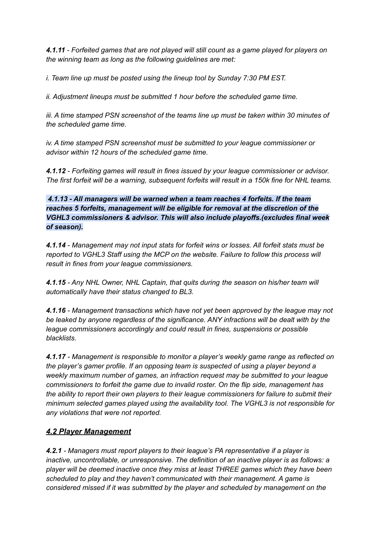*4.1.11 - Forfeited games that are not played will still count as a game played for players on the winning team as long as the following guidelines are met:*

*i. Team line up must be posted using the lineup tool by Sunday 7:30 PM EST.*

*ii. Adjustment lineups must be submitted 1 hour before the scheduled game time.*

*iii. A time stamped PSN screenshot of the teams line up must be taken within 30 minutes of the scheduled game time.*

*iv. A time stamped PSN screenshot must be submitted to your league commissioner or advisor within 12 hours of the scheduled game time.*

*4.1.12 - Forfeiting games will result in fines issued by your league commissioner or advisor. The first forfeit will be a warning, subsequent forfeits will result in a 150k fine for NHL teams.*

*4.1.13 - All managers will be warned when a team reaches 4 forfeits. If the team reaches 5 forfeits, management will be eligible for removal at the discretion of the VGHL3 commissioners & advisor. This will also include playoffs.(excludes final week of season).*

*4.1.14 - Management may not input stats for forfeit wins or losses. All forfeit stats must be reported to VGHL3 Staff using the MCP on the website. Failure to follow this process will result in fines from your league commissioners.*

*4.1.15 - Any NHL Owner, NHL Captain, that quits during the season on his/her team will automatically have their status changed to BL3.*

*4.1.16 - Management transactions which have not yet been approved by the league may not be leaked by anyone regardless of the significance. ANY infractions will be dealt with by the league commissioners accordingly and could result in fines, suspensions or possible blacklists.*

*4.1.17 - Management is responsible to monitor a player's weekly game range as reflected on the player's gamer profile. If an opposing team is suspected of using a player beyond a weekly maximum number of games, an infraction request may be submitted to your league commissioners to forfeit the game due to invalid roster. On the flip side, management has the ability to report their own players to their league commissioners for failure to submit their minimum selected games played using the availability tool. The VGHL3 is not responsible for any violations that were not reported.*

## *4.2 Player Management*

*4.2.1 - Managers must report players to their league's PA representative if a player is inactive, uncontrollable, or unresponsive. The definition of an inactive player is as follows: a player will be deemed inactive once they miss at least THREE games which they have been scheduled to play and they haven't communicated with their management. A game is considered missed if it was submitted by the player and scheduled by management on the*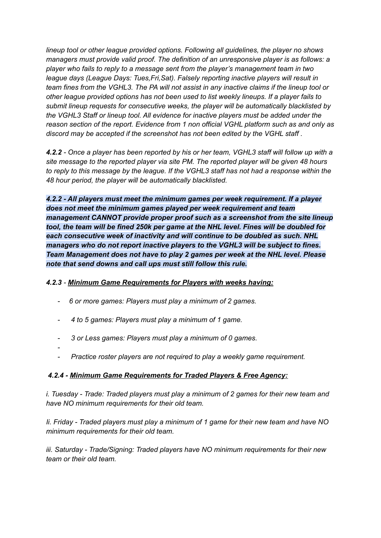*lineup tool or other league provided options. Following all guidelines, the player no shows managers must provide valid proof. The definition of an unresponsive player is as follows: a player who fails to reply to a message sent from the player's management team in two league days (League Days: Tues,Fri,Sat). Falsely reporting inactive players will result in* team fines from the VGHL3. The PA will not assist in any inactive claims if the lineup tool or *other league provided options has not been used to list weekly lineups. If a player fails to submit lineup requests for consecutive weeks, the player will be automatically blacklisted by the VGHL3 Staff or lineup tool. All evidence for inactive players must be added under the reason section of the report. Evidence from 1 non official VGHL platform such as and only as discord may be accepted if the screenshot has not been edited by the VGHL staff .*

4.2.2 - Once a player has been reported by his or her team, VGHL3 staff will follow up with a *site message to the reported player via site PM. The reported player will be given 48 hours* to reply to this message by the league. If the VGHL3 staff has not had a response within the *48 hour period, the player will be automatically blacklisted.*

*4.2.2 - All players must meet the minimum games per week requirement. If a player does not meet the minimum games played per week requirement and team management CANNOT provide proper proof such as a screenshot from the site lineup tool, the team will be fined 250k per game at the NHL level. Fines will be doubled for each consecutive week of inactivity and will continue to be doubled as such. NHL managers who do not report inactive players to the VGHL3 will be subject to fines. Team Management does not have to play 2 games per week at the NHL level. Please note that send downs and call ups must still follow this rule.*

#### *4.2.3 - Minimum Game Requirements for Players with weeks having:*

- *- 6 or more games: Players must play a minimum of 2 games.*
- *- 4 to 5 games: Players must play a minimum of 1 game.*
- *- 3 or Less games: Players must play a minimum of 0 games.*
- *- - Practice roster players are not required to play a weekly game requirement.*

## *4.2.4 - Minimum Game Requirements for Traded Players & Free Agency:*

*i. Tuesday - Trade: Traded players must play a minimum of 2 games for their new team and have NO minimum requirements for their old team.*

*Ii. Friday - Traded players must play a minimum of 1 game for their new team and have NO minimum requirements for their old team.*

*iii. Saturday - Trade/Signing: Traded players have NO minimum requirements for their new team or their old team.*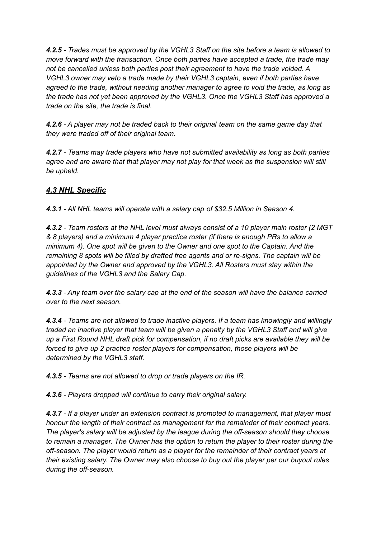*4.2.5 - Trades must be approved by the VGHL3 Staff on the site before a team is allowed to move forward with the transaction. Once both parties have accepted a trade, the trade may not be cancelled unless both parties post their agreement to have the trade voided. A VGHL3 owner may veto a trade made by their VGHL3 captain, even if both parties have agreed to the trade, without needing another manager to agree to void the trade, as long as the trade has not yet been approved by the VGHL3. Once the VGHL3 Staff has approved a trade on the site, the trade is final.*

*4.2.6 - A player may not be traded back to their original team on the same game day that they were traded off of their original team.*

*4.2.7 - Teams may trade players who have not submitted availability as long as both parties agree and are aware that that player may not play for that week as the suspension will still be upheld.*

# *4.3 NHL Specific*

*4.3.1 - All NHL teams will operate with a salary cap of \$32.5 Million in Season 4.*

*4.3.2 - Team rosters at the NHL level must always consist of a 10 player main roster (2 MGT & 8 players) and a minimum 4 player practice roster (if there is enough PRs to allow a minimum 4). One spot will be given to the Owner and one spot to the Captain. And the remaining 8 spots will be filled by drafted free agents and or re-signs. The captain will be appointed by the Owner and approved by the VGHL3. All Rosters must stay within the guidelines of the VGHL3 and the Salary Cap.*

*4.3.3 - Any team over the salary cap at the end of the season will have the balance carried over to the next season.*

*4.3.4 - Teams are not allowed to trade inactive players. If a team has knowingly and willingly traded an inactive player that team will be given a penalty by the VGHL3 Staff and will give up a First Round NHL draft pick for compensation, if no draft picks are available they will be forced to give up 2 practice roster players for compensation, those players will be determined by the VGHL3 staff.*

*4.3.5 - Teams are not allowed to drop or trade players on the IR.*

*4.3.6 - Players dropped will continue to carry their original salary.*

*4.3.7 - If a player under an extension contract is promoted to management, that player must honour the length of their contract as management for the remainder of their contract years. The player's salary will be adjusted by the league during the off-season should they choose to remain a manager. The Owner has the option to return the player to their roster during the off-season. The player would return as a player for the remainder of their contract years at their existing salary. The Owner may also choose to buy out the player per our buyout rules during the off-season.*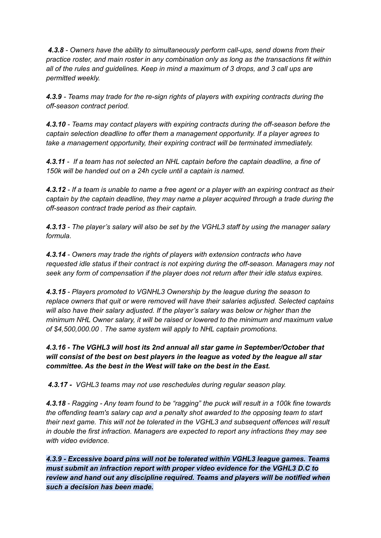*4.3.8 - Owners have the ability to simultaneously perform call-ups, send downs from their practice roster, and main roster in any combination only as long as the transactions fit within all of the rules and guidelines. Keep in mind a maximum of 3 drops, and 3 call ups are permitted weekly.*

*4.3.9 - Teams may trade for the re-sign rights of players with expiring contracts during the off-season contract period.*

*4.3.10 - Teams may contact players with expiring contracts during the off-season before the captain selection deadline to offer them a management opportunity. If a player agrees to take a management opportunity, their expiring contract will be terminated immediately.*

*4.3.11 - If a team has not selected an NHL captain before the captain deadline, a fine of 150k will be handed out on a 24h cycle until a captain is named.*

4.3.12 - If a team is unable to name a free agent or a player with an expiring contract as their *captain by the captain deadline, they may name a player acquired through a trade during the off-season contract trade period as their captain.*

*4.3.13 - The player's salary will also be set by the VGHL3 staff by using the manager salary formula.*

*4.3.14 - Owners may trade the rights of players with extension contracts who have requested idle status if their contract is not expiring during the off-season. Managers may not seek any form of compensation if the player does not return after their idle status expires.*

*4.3.15 - Players promoted to VGNHL3 Ownership by the league during the season to replace owners that quit or were removed will have their salaries adjusted. Selected captains will also have their salary adjusted. If the player's salary was below or higher than the minimum NHL Owner salary, it will be raised or lowered to the minimum and maximum value of \$4,500,000.00 . The same system will apply to NHL captain promotions.*

*4.3.16 - The VGHL3 will host its 2nd annual all star game in September/October that will consist of the best on best players in the league as voted by the league all star committee. As the best in the West will take on the best in the East.*

*4.3.17 - VGHL3 teams may not use reschedules during regular season play.*

4.3.18 - Ragging - Any team found to be "ragging" the puck will result in a 100k fine towards *the offending team's salary cap and a penalty shot awarded to the opposing team to start their next game. This will not be tolerated in the VGHL3 and subsequent offences will result in double the first infraction. Managers are expected to report any infractions they may see with video evidence.*

*4.3.9 - Excessive board pins will not be tolerated within VGHL3 league games. Teams must submit an infraction report with proper video evidence for the VGHL3 D.C to review and hand out any discipline required. Teams and players will be notified when such a decision has been made.*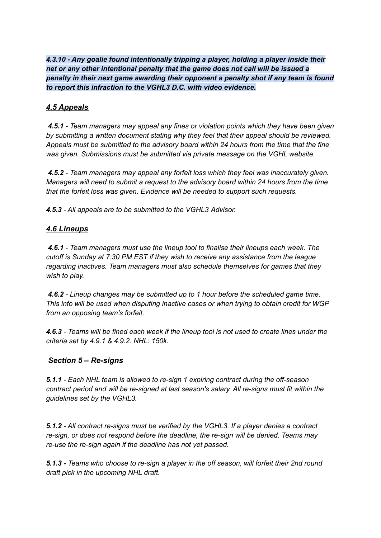*4.3.10 - Any goalie found intentionally tripping a player, holding a player inside their net or any other intentional penalty that the game does not call will be issued a penalty in their next game awarding their opponent a penalty shot if any team is found to report this infraction to the VGHL3 D.C. with video evidence.*

# *4.5 Appeals*

*4.5.1 - Team managers may appeal any fines or violation points which they have been given by submitting a written document stating why they feel that their appeal should be reviewed. Appeals must be submitted to the advisory board within 24 hours from the time that the fine was given. Submissions must be submitted via private message on the VGHL website.*

*4.5.2 - Team managers may appeal any forfeit loss which they feel was inaccurately given. Managers will need to submit a request to the advisory board within 24 hours from the time that the forfeit loss was given. Evidence will be needed to support such requests.*

*4.5.3 - All appeals are to be submitted to the VGHL3 Advisor.*

#### *4.6 Lineups*

*4.6.1 - Team managers must use the lineup tool to finalise their lineups each week. The cutoff is Sunday at 7:30 PM EST if they wish to receive any assistance from the league regarding inactives. Team managers must also schedule themselves for games that they wish to play.*

*4.6.2 - Lineup changes may be submitted up to 1 hour before the scheduled game time. This info will be used when disputing inactive cases or when trying to obtain credit for WGP from an opposing team's forfeit.*

4.6.3 - Teams will be fined each week if the lineup tool is not used to create lines under the *criteria set by 4.9.1 & 4.9.2. NHL: 150k.*

#### *Section 5 – Re-signs*

*5.1.1 - Each NHL team is allowed to re-sign 1 expiring contract during the off-season contract period and will be re-signed at last season's salary. All re-signs must fit within the guidelines set by the VGHL3.*

*5.1.2 - All contract re-signs must be verified by the VGHL3. If a player denies a contract re-sign, or does not respond before the deadline, the re-sign will be denied. Teams may re-use the re-sign again if the deadline has not yet passed.*

*5.1.3 - Teams who choose to re-sign a player in the off season, will forfeit their 2nd round draft pick in the upcoming NHL draft.*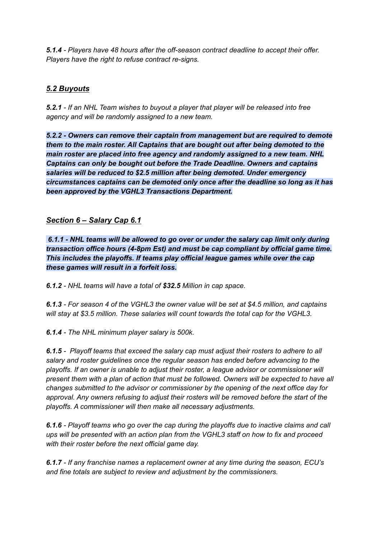*5.1.4 - Players have 48 hours after the off-season contract deadline to accept their offer. Players have the right to refuse contract re-signs.*

# *5.2 Buyouts*

*5.2.1 - If an NHL Team wishes to buyout a player that player will be released into free agency and will be randomly assigned to a new team.*

*5.2.2 - Owners can remove their captain from management but are required to demote them to the main roster. All Captains that are bought out after being demoted to the main roster are placed into free agency and randomly assigned to a new team. NHL Captains can only be bought out before the Trade Deadline. Owners and captains salaries will be reduced to \$2.5 million after being demoted. Under emergency circumstances captains can be demoted only once after the deadline so long as it has been approved by the VGHL3 Transactions Department.*

#### *Section 6 – Salary Cap 6.1*

*6.1.1 - NHL teams will be allowed to go over or under the salary cap limit only during transaction office hours (4-8pm Est) and must be cap compliant by official game time. This includes the playoffs. If teams play official league games while over the cap these games will result in a forfeit loss.*

*6.1.2 - NHL teams will have a total of \$32.5 Million in cap space.*

*6.1.3 - For season 4 of the VGHL3 the owner value will be set at \$4.5 million, and captains will stay at \$3.5 million. These salaries will count towards the total cap for the VGHL3.*

*6.1.4 - The NHL minimum player salary is 500k.*

*6.1.5 - Playoff teams that exceed the salary cap must adjust their rosters to adhere to all salary and roster guidelines once the regular season has ended before advancing to the playoffs. If an owner is unable to adjust their roster, a league advisor or commissioner will present them with a plan of action that must be followed. Owners will be expected to have all changes submitted to the advisor or commissioner by the opening of the next office day for approval. Any owners refusing to adjust their rosters will be removed before the start of the playoffs. A commissioner will then make all necessary adjustments.*

*6.1.6 - Playoff teams who go over the cap during the playoffs due to inactive claims and call ups will be presented with an action plan from the VGHL3 staff on how to fix and proceed with their roster before the next official game day.*

*6.1.7 - If any franchise names a replacement owner at any time during the season, ECU's and fine totals are subject to review and adjustment by the commissioners.*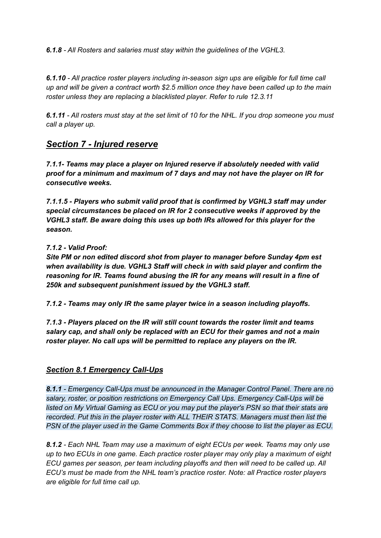*6.1.8 - All Rosters and salaries must stay within the guidelines of the VGHL3.*

*6.1.10 - All practice roster players including in-season sign ups are eligible for full time call* up and will be given a contract worth \$2.5 million once they have been called up to the main *roster unless they are replacing a blacklisted player. Refer to rule 12.3.11*

6.1.11 - All rosters must stay at the set limit of 10 for the NHL. If you drop someone you must *call a player up.*

# *Section 7 - Injured reserve*

*7.1.1- Teams may place a player on Injured reserve if absolutely needed with valid proof for a minimum and maximum of 7 days and may not have the player on IR for consecutive weeks.*

*7.1.1.5 - Players who submit valid proof that is confirmed by VGHL3 staff may under special circumstances be placed on IR for 2 consecutive weeks if approved by the VGHL3 staff. Be aware doing this uses up both IRs allowed for this player for the season.*

#### *7.1.2 - Valid Proof:*

*Site PM or non edited discord shot from player to manager before Sunday 4pm est when availability is due. VGHL3 Staff will check in with said player and confirm the reasoning for IR. Teams found abusing the IR for any means will result in a fine of 250k and subsequent punishment issued by the VGHL3 staff.*

*7.1.2 - Teams may only IR the same player twice in a season including playoffs.*

*7.1.3 - Players placed on the IR will still count towards the roster limit and teams salary cap, and shall only be replaced with an ECU for their games and not a main roster player. No call ups will be permitted to replace any players on the IR.*

#### *Section 8.1 Emergency Call-Ups*

*8.1.1 - Emergency Call-Ups must be announced in the Manager Control Panel. There are no salary, roster, or position restrictions on Emergency Call Ups. Emergency Call-Ups will be listed on My Virtual Gaming as ECU or you may put the player's PSN so that their stats are recorded. Put this in the player roster with ALL THEIR STATS. Managers must then list the PSN of the player used in the Game Comments Box if they choose to list the player as ECU.*

*8.1.2 - Each NHL Team may use a maximum of eight ECUs per week. Teams may only use up to two ECUs in one game. Each practice roster player may only play a maximum of eight ECU games per season, per team including playoffs and then will need to be called up. All ECU's must be made from the NHL team's practice roster. Note: all Practice roster players are eligible for full time call up.*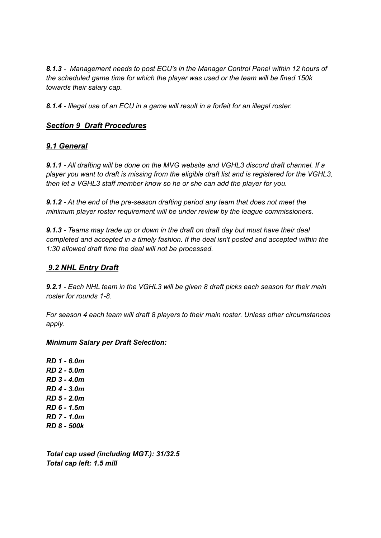*8.1.3 - Management needs to post ECU's in the Manager Control Panel within 12 hours of the scheduled game time for which the player was used or the team will be fined 150k towards their salary cap.*

*8.1.4 - Illegal use of an ECU in a game will result in a forfeit for an illegal roster.*

## *Section 9 Draft Procedures*

#### *9.1 General*

*9.1.1 - All drafting will be done on the MVG website and VGHL3 discord draft channel. If a player you want to draft is missing from the eligible draft list and is registered for the VGHL3, then let a VGHL3 staff member know so he or she can add the player for you.*

*9.1.2 - At the end of the pre-season drafting period any team that does not meet the minimum player roster requirement will be under review by the league commissioners.*

*9.1.3 - Teams may trade up or down in the draft on draft day but must have their deal completed and accepted in a timely fashion. If the deal isn't posted and accepted within the 1:30 allowed draft time the deal will not be processed.*

## *9.2 NHL Entry Draft*

*9.2.1 - Each NHL team in the VGHL3 will be given 8 draft picks each season for their main roster for rounds 1-8.*

*For season 4 each team will draft 8 players to their main roster. Unless other circumstances apply.*

#### *Minimum Salary per Draft Selection:*

*RD 1 - 6.0m RD 2 - 5.0m RD 3 - 4.0m RD 4 - 3.0m RD 5 - 2.0m RD 6 - 1.5m RD 7 - 1.0m RD 8 - 500k*

*Total cap used (including MGT.): 31/32.5 Total cap left: 1.5 mill*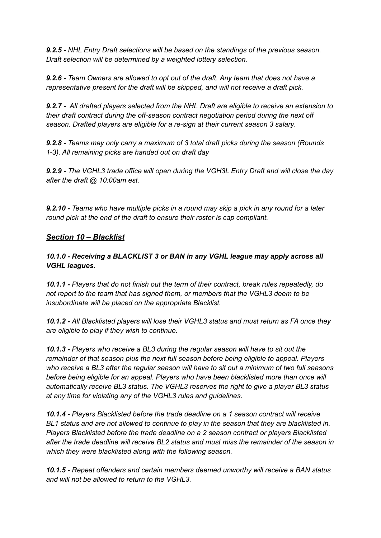*9.2.5 - NHL Entry Draft selections will be based on the standings of the previous season. Draft selection will be determined by a weighted lottery selection.*

*9.2.6 - Team Owners are allowed to opt out of the draft. Any team that does not have a representative present for the draft will be skipped, and will not receive a draft pick.*

*9.2.7 - All drafted players selected from the NHL Draft are eligible to receive an extension to their draft contract during the off-season contract negotiation period during the next off season. Drafted players are eligible for a re-sign at their current season 3 salary.*

*9.2.8 - Teams may only carry a maximum of 3 total draft picks during the season (Rounds 1-3). All remaining picks are handed out on draft day*

*9.2.9 - The VGHL3 trade office will open during the VGH3L Entry Draft and will close the day after the draft @ 10:00am est.*

9.2.10 - Teams who have multiple picks in a round may skip a pick in any round for a later *round pick at the end of the draft to ensure their roster is cap compliant.*

#### *Section 10 – Blacklist*

*10.1.0 - Receiving a BLACKLIST 3 or BAN in any VGHL league may apply across all VGHL leagues.*

*10.1.1 - Players that do not finish out the term of their contract, break rules repeatedly, do not report to the team that has signed them, or members that the VGHL3 deem to be insubordinate will be placed on the appropriate Blacklist.*

*10.1.2 - All Blacklisted players will lose their VGHL3 status and must return as FA once they are eligible to play if they wish to continue.*

*10.1.3 - Players who receive a BL3 during the regular season will have to sit out the remainder of that season plus the next full season before being eligible to appeal. Players* who receive a BL3 after the regular season will have to sit out a minimum of two full seasons *before being eligible for an appeal. Players who have been blacklisted more than once will automatically receive BL3 status. The VGHL3 reserves the right to give a player BL3 status at any time for violating any of the VGHL3 rules and guidelines.*

*10.1.4 - Players Blacklisted before the trade deadline on a 1 season contract will receive BL1 status and are not allowed to continue to play in the season that they are blacklisted in. Players Blacklisted before the trade deadline on a 2 season contract or players Blacklisted after the trade deadline will receive BL2 status and must miss the remainder of the season in which they were blacklisted along with the following season.*

*10.1.5 - Repeat offenders and certain members deemed unworthy will receive a BAN status and will not be allowed to return to the VGHL3.*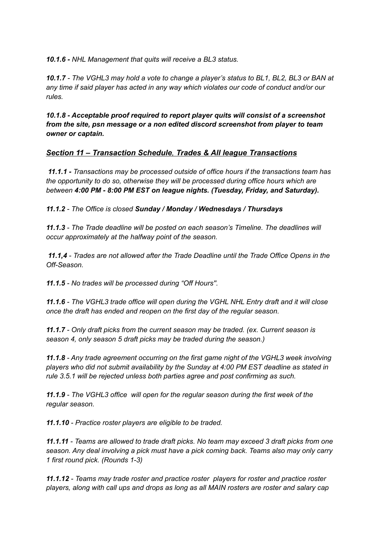*10.1.6 - NHL Management that quits will receive a BL3 status.*

10.1.7 - The VGHL3 may hold a vote to change a player's status to BL1, BL2, BL3 or BAN at *any time if said player has acted in any way which violates our code of conduct and/or our rules.*

*10.1.8 - Acceptable proof required to report player quits will consist of a screenshot from the site, psn message or a non edited discord screenshot from player to team owner or captain.*

#### *Section 11 – Transaction Schedule, Trades & All league Transactions*

*11.1.1 - Transactions may be processed outside of office hours if the transactions team has the opportunity to do so, otherwise they will be processed during office hours which are between 4:00 PM - 8:00 PM EST on league nights. (Tuesday, Friday, and Saturday).*

*11.1.2 - The Office is closed Sunday / Monday / Wednesdays / Thursdays*

*11.1.3 - The Trade deadline will be posted on each season's Timeline. The deadlines will occur approximately at the halfway point of the season.*

*11.1,4 - Trades are not allowed after the Trade Deadline until the Trade Office Opens in the Off-Season.*

*11.1.5 - No trades will be processed during "Off Hours''.*

*11.1.6 - The VGHL3 trade office will open during the VGHL NHL Entry draft and it will close once the draft has ended and reopen on the first day of the regular season.*

*11.1.7 - Only draft picks from the current season may be traded. (ex. Current season is season 4, only season 5 draft picks may be traded during the season.)*

*11.1.8 - Any trade agreement occurring on the first game night of the VGHL3 week involving players who did not submit availability by the Sunday at 4:00 PM EST deadline as stated in rule 3.5.1 will be rejected unless both parties agree and post confirming as such.*

*11.1.9 - The VGHL3 office will open for the regular season during the first week of the regular season.*

*11.1.10 - Practice roster players are eligible to be traded.*

*11.1.11 - Teams are allowed to trade draft picks. No team may exceed 3 draft picks from one season. Any deal involving a pick must have a pick coming back. Teams also may only carry 1 first round pick. (Rounds 1-3)*

*11.1.12 - Teams may trade roster and practice roster players for roster and practice roster players, along with call ups and drops as long as all MAIN rosters are roster and salary cap*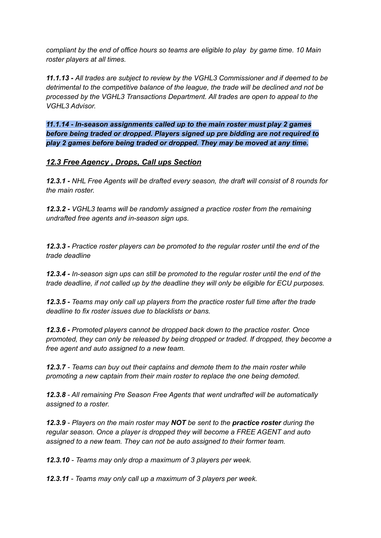*compliant by the end of office hours so teams are eligible to play by game time. 10 Main roster players at all times.*

*11.1.13 - All trades are subject to review by the VGHL3 Commissioner and if deemed to be detrimental to the competitive balance of the league, the trade will be declined and not be processed by the VGHL3 Transactions Department. All trades are open to appeal to the VGHL3 Advisor.*

*11.1.14 - In-season assignments called up to the main roster must play 2 games before being traded or dropped. Players signed up pre bidding are not required to play 2 games before being traded or dropped. They may be moved at any time.*

#### *12.3 Free Agency , Drops, Call ups Section*

*12.3.1 - NHL Free Agents will be drafted every season, the draft will consist of 8 rounds for the main roster.*

*12.3.2 - VGHL3 teams will be randomly assigned a practice roster from the remaining undrafted free agents and in-season sign ups.*

*12.3.3 - Practice roster players can be promoted to the regular roster until the end of the trade deadline*

*12.3.4 - In-season sign ups can still be promoted to the regular roster until the end of the trade deadline, if not called up by the deadline they will only be eligible for ECU purposes.*

*12.3.5 - Teams may only call up players from the practice roster full time after the trade deadline to fix roster issues due to blacklists or bans.*

*12.3.6 - Promoted players cannot be dropped back down to the practice roster. Once promoted, they can only be released by being dropped or traded. If dropped, they become a free agent and auto assigned to a new team.*

*12.3.7 - Teams can buy out their captains and demote them to the main roster while promoting a new captain from their main roster to replace the one being demoted.*

*12.3.8 - All remaining Pre Season Free Agents that went undrafted will be automatically assigned to a roster.*

*12.3.9 - Players on the main roster may NOT be sent to the practice roster during the regular season. Once a player is dropped they will become a FREE AGENT and auto assigned to a new team. They can not be auto assigned to their former team.*

*12.3.10 - Teams may only drop a maximum of 3 players per week.*

*12.3.11 - Teams may only call up a maximum of 3 players per week.*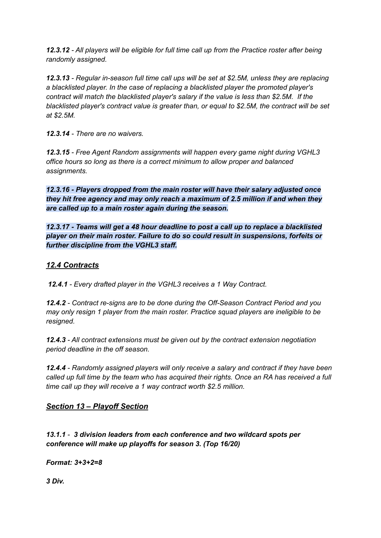*12.3.12 - All players will be eligible for full time call up from the Practice roster after being randomly assigned.*

*12.3.13 - Regular in-season full time call ups will be set at \$2.5M, unless they are replacing a blacklisted player. In the case of replacing a blacklisted player the promoted player's contract will match the blacklisted player's salary if the value is less than \$2.5M. If the blacklisted player's contract value is greater than, or equal to \$2.5M, the contract will be set at \$2.5M.*

*12.3.14 - There are no waivers.*

*12.3.15 - Free Agent Random assignments will happen every game night during VGHL3 office hours so long as there is a correct minimum to allow proper and balanced assignments.*

*12.3.16 - Players dropped from the main roster will have their salary adjusted once they hit free agency and may only reach a maximum of 2.5 million if and when they are called up to a main roster again during the season.*

*12.3.17 - Teams will get a 48 hour deadline to post a call up to replace a blacklisted player on their main roster. Failure to do so could result in suspensions, forfeits or further discipline from the VGHL3 staff.*

#### *12.4 Contracts*

*12.4.1 - Every drafted player in the VGHL3 receives a 1 Way Contract.*

*12.4.2 - Contract re-signs are to be done during the Off-Season Contract Period and you may only resign 1 player from the main roster. Practice squad players are ineligible to be resigned.*

*12.4.3 - All contract extensions must be given out by the contract extension negotiation period deadline in the off season.*

*12.4.4 - Randomly assigned players will only receive a salary and contract if they have been* called up full time by the team who has acquired their rights. Once an RA has received a full *time call up they will receive a 1 way contract worth \$2.5 million.*

*Section 13 – Playoff Section*

*13.1.1 - 3 division leaders from each conference and two wildcard spots per conference will make up playoffs for season 3. (Top 16/20)*

*Format: 3+3+2=8*

*3 Div.*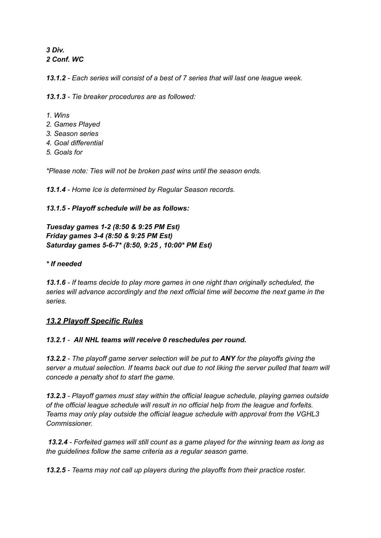*3 Div. 2 Conf. WC*

*13.1.2 - Each series will consist of a best of 7 series that will last one league week.*

*13.1.3 - Tie breaker procedures are as followed:*

- *1. Wins*
- *2. Games Played*
- *3. Season series*
- *4. Goal differential*
- *5. Goals for*

*\*Please note: Ties will not be broken past wins until the season ends.*

*13.1.4 - Home Ice is determined by Regular Season records.*

#### *13.1.5 - Playoff schedule will be as follows:*

*Tuesday games 1-2 (8:50 & 9:25 PM Est) Friday games 3-4 (8:50 & 9:25 PM Est) Saturday games 5-6-7\* (8:50, 9:25 , 10:00\* PM Est)*

#### *\* If needed*

*13.1.6 - If teams decide to play more games in one night than originally scheduled, the series will advance accordingly and the next official time will become the next game in the series.*

#### *13.2 Playoff Specific Rules*

#### *13.2.1 - All NHL teams will receive 0 reschedules per round.*

*13.2.2 - The playoff game server selection will be put to ANY for the playoffs giving the server a mutual selection. If teams back out due to not liking the server pulled that team will concede a penalty shot to start the game.*

*13.2.3 - Playoff games must stay within the official league schedule, playing games outside of the official league schedule will result in no official help from the league and forfeits. Teams may only play outside the official league schedule with approval from the VGHL3 Commissioner.*

*13.2.4 - Forfeited games will still count as a game played for the winning team as long as the guidelines follow the same criteria as a regular season game.*

*13.2.5 - Teams may not call up players during the playoffs from their practice roster.*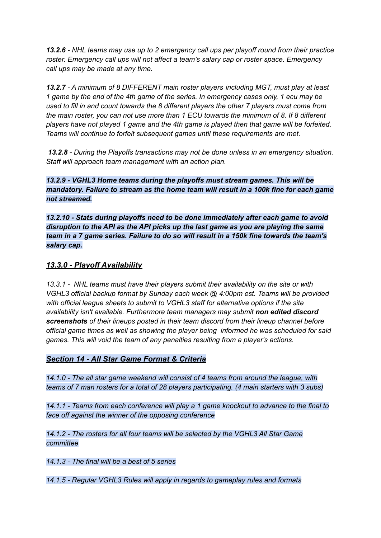*13.2.6 - NHL teams may use up to 2 emergency call ups per playoff round from their practice roster. Emergency call ups will not affect a team's salary cap or roster space. Emergency call ups may be made at any time.*

*13.2.7 - A minimum of 8 DIFFERENT main roster players including MGT, must play at least* 1 game by the end of the 4th game of the series. In emergency cases only, 1 ecu may be *used to fill in and count towards the 8 different players the other 7 players must come from the main roster, you can not use more than 1 ECU towards the minimum of 8. If 8 different players have not played 1 game and the 4th game is played then that game will be forfeited. Teams will continue to forfeit subsequent games until these requirements are met.*

*13.2.8 - During the Playoffs transactions may not be done unless in an emergency situation. Staff will approach team management with an action plan.*

*13.2.9 - VGHL3 Home teams during the playoffs must stream games. This will be mandatory. Failure to stream as the home team will result in a 100k fine for each game not streamed.*

*13.2.10 - Stats during playoffs need to be done immediately after each game to avoid disruption to the API as the API picks up the last game as you are playing the same team in a 7 game series. Failure to do so will result in a 150k fine towards the team's salary cap.*

## *13.3.0 - Playoff Availability*

*13.3.1 - NHL teams must have their players submit their availability on the site or with VGHL3 official backup format by Sunday each week @ 4:00pm est. Teams will be provided with official league sheets to submit to VGHL3 staff for alternative options if the site availability isn't available. Furthermore team managers may submit non edited discord screenshots of their lineups posted in their team discord from their lineup channel before official game times as well as showing the player being informed he was scheduled for said games. This will void the team of any penalties resulting from a player's actions.*

#### *Section 14 - All Star Game Format & Criteria*

*14.1.0 - The all star game weekend will consist of 4 teams from around the league, with teams of 7 man rosters for a total of 28 players participating. (4 main starters with 3 subs)*

*14.1.1 - Teams from each conference will play a 1 game knockout to advance to the final to face off against the winner of the opposing conference*

*14.1.2 - The rosters for all four teams will be selected by the VGHL3 All Star Game committee*

*14.1.3 - The final will be a best of 5 series*

*14.1.5 - Regular VGHL3 Rules will apply in regards to gameplay rules and formats*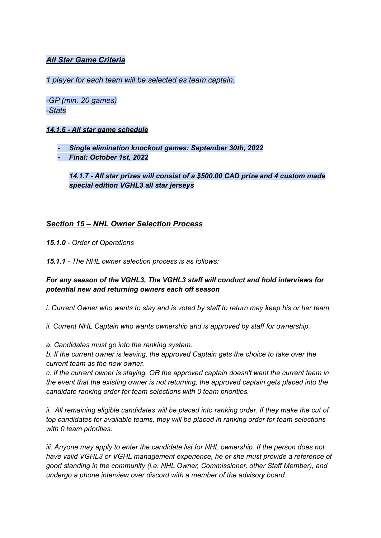#### *All Star Game Criteria*

*1 player for each team will be selected as team captain.*

*-GP (min. 20 games) -Stats*

#### *14.1.6 - All star game schedule*

- *- Single elimination knockout games: September 30th, 2022*
- *- Final: October 1st, 2022*

*14.1.7 - All star prizes will consist of a \$500.00 CAD prize and 4 custom made special edition VGHL3 all star jerseys*

#### *Section 15 – NHL Owner Selection Process*

*15.1.0 - Order of Operations*

*15.1.1 - The NHL owner selection process is as follows:*

#### *For any season of the VGHL3, The VGHL3 staff will conduct and hold interviews for potential new and returning owners each off season*

i. Current Owner who wants to stay and is voted by staff to return may keep his or her team.

*ii. Current NHL Captain who wants ownership and is approved by staff for ownership.*

*a. Candidates must go into the ranking system.*

*b. If the current owner is leaving, the approved Captain gets the choice to take over the current team as the new owner.*

*c. If the current owner is staying, OR the approved captain doesn't want the current team in the event that the existing owner is not returning, the approved captain gets placed into the candidate ranking order for team selections with 0 team priorities.*

*ii. All remaining eligible candidates will be placed into ranking order. If they make the cut of top candidates for available teams, they will be placed in ranking order for team selections with 0 team priorities.*

*iii. Anyone may apply to enter the candidate list for NHL ownership. If the person does not have valid VGHL3 or VGHL management experience, he or she must provide a reference of good standing in the community (i.e. NHL Owner, Commissioner, other Staff Member), and undergo a phone interview over discord with a member of the advisory board.*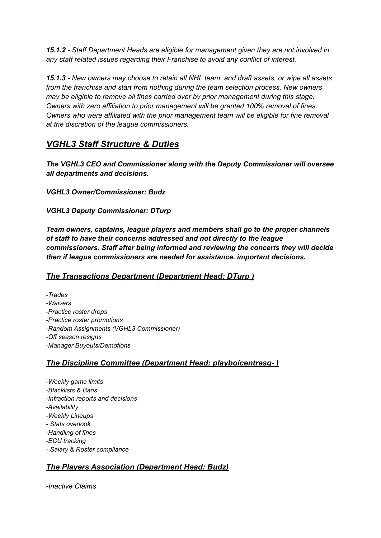*15.1.2 - Staff Department Heads are eligible for management given they are not involved in any staff related issues regarding their Franchise to avoid any conflict of interest.*

*15.1.3 - New owners may choose to retain all NHL team and draft assets, or wipe all assets from the franchise and start from nothing during the team selection process. New owners may be eligible to remove all fines carried over by prior management during this stage. Owners with zero affiliation to prior management will be granted 100% removal of fines. Owners who were affiliated with the prior management team will be eligible for fine removal at the discretion of the league commissioners.*

# *VGHL3 Staff Structure & Duties*

*The VGHL3 CEO and Commissioner along with the Deputy Commissioner will oversee all departments and decisions.*

*VGHL3 Owner/Commissioner: Budz*

*VGHL3 Deputy Commissioner: DTurp*

*Team owners, captains, league players and members shall go to the proper channels of staff to have their concerns addressed and not directly to the league commissioners. Staff after being informed and reviewing the concerts they will decide then if league commissioners are needed for assistance. important decisions.*

# *The Transactions Department (Department Head: DTurp )*

*-Trades -Waivers -Practice roster drops -Practice roster promotions -Random Assignments (VGHL3 Commissioner) -Off season resigns -Manager Buyouts/Demotions*

# *The Discipline Committee (Department Head: playboicentresg- )*

*-Weekly game limits -Blacklists & Bans -Infraction reports and decisions -Availability -Weekly Lineups - Stats overlook -Handling of fines -ECU tracking - Salary & Roster compliance*

# *The Players Association (Department Head: Budz)*

*-Inactive Claims*